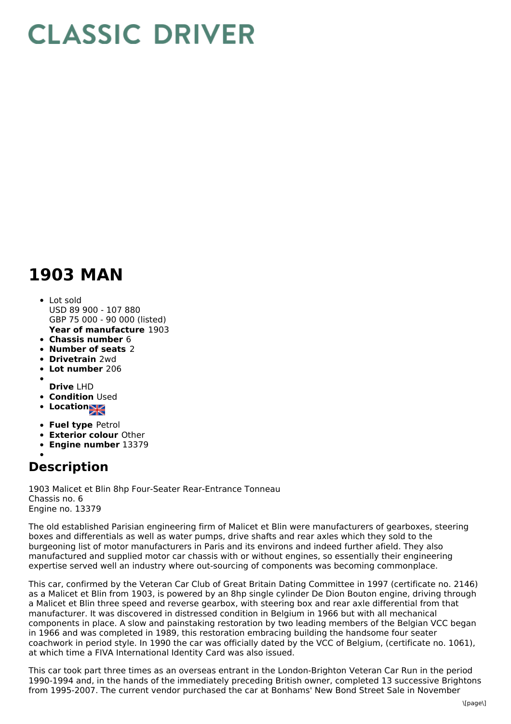## **CLASSIC DRIVER**

## **1903 MAN**

- **Year of manufacture** 1903 Lot sold USD 89 900 - 107 880 GBP 75 000 - 90 000 (listed)
- **Chassis number** 6
- **Number of seats** 2
- **Drivetrain** 2wd
- 
- **Lot number** 206
- **Drive** LHD
- **Condition Used**
- **Location**
- **Fuel type** Petrol
- **Exterior colour** Other
- **Engine number** 13379

## **Description**

1903 Malicet et Blin 8hp Four-Seater Rear-Entrance Tonneau Chassis no. 6 Engine no. 13379

The old established Parisian engineering firm of Malicet et Blin were manufacturers of gearboxes, steering boxes and differentials as well as water pumps, drive shafts and rear axles which they sold to the burgeoning list of motor manufacturers in Paris and its environs and indeed further afield. They also manufactured and supplied motor car chassis with or without engines, so essentially their engineering expertise served well an industry where out-sourcing of components was becoming commonplace.

This car, confirmed by the Veteran Car Club of Great Britain Dating Committee in 1997 (certificate no. 2146) as a Malicet et Blin from 1903, is powered by an 8hp single cylinder De Dion Bouton engine, driving through a Malicet et Blin three speed and reverse gearbox, with steering box and rear axle differential from that manufacturer. It was discovered in distressed condition in Belgium in 1966 but with all mechanical components in place. A slow and painstaking restoration by two leading members of the Belgian VCC began in 1966 and was completed in 1989, this restoration embracing building the handsome four seater coachwork in period style. In 1990 the car was officially dated by the VCC of Belgium, (certificate no. 1061), at which time a FIVA International Identity Card was also issued.

This car took part three times as an overseas entrant in the London-Brighton Veteran Car Run in the period 1990-1994 and, in the hands of the immediately preceding British owner, completed 13 successive Brightons from 1995-2007. The current vendor purchased the car at Bonhams' New Bond Street Sale in November